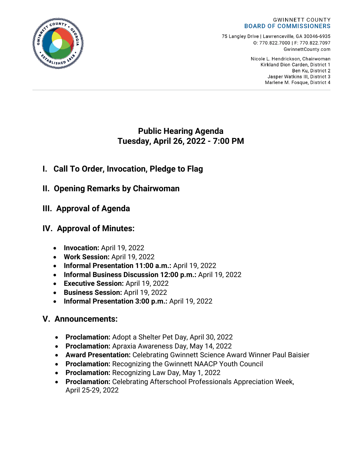#### **GWINNETT COUNTY BOARD OF COMMISSIONERS**

75 Langley Drive | Lawrenceville, GA 30046-6935 0:770.822.7000 | F: 770.822.7097 GwinnettCounty.com

> Nicole L. Hendrickson, Chairwoman Kirkland Dion Carden, District 1 Ben Ku. District 2 Jasper Watkins III, District 3 Marlene M. Fosque, District 4

## **Public Hearing Agenda Tuesday, April 26, 2022 - 7:00 PM**

# **I. Call To Order, Invocation, Pledge to Flag**

- **II. Opening Remarks by Chairwoman**
- **III. Approval of Agenda**

# **IV. Approval of Minutes:**

- **Invocation:** April 19, 2022
- **Work Session:** April 19, 2022
- **Informal Presentation 11:00 a.m.:** April 19, 2022
- **Informal Business Discussion 12:00 p.m.:** April 19, 2022
- **Executive Session:** April 19, 2022
- **Business Session:** April 19, 2022
- **Informal Presentation 3:00 p.m.:** April 19, 2022

# **V. Announcements:**

- **Proclamation:** Adopt a Shelter Pet Day, April 30, 2022
- **Proclamation:** Apraxia Awareness Day, May 14, 2022
- **Award Presentation:** Celebrating Gwinnett Science Award Winner Paul Baisier
- **Proclamation:** Recognizing the Gwinnett NAACP Youth Council
- **Proclamation:** Recognizing Law Day, May 1, 2022
- **Proclamation:** Celebrating Afterschool Professionals Appreciation Week, April 25-29, 2022

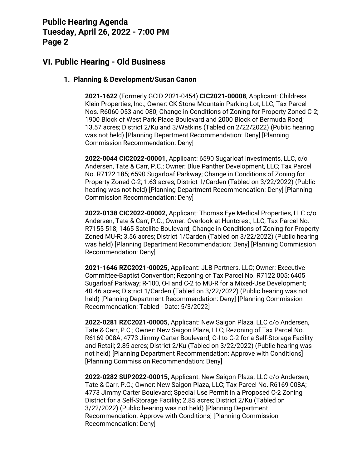## **VI. Public Hearing - Old Business**

#### **1. Planning & Development/Susan Canon**

**2021-1622** (Formerly GCID 2021-0454) **CIC2021-00008**, Applicant: Childress Klein Properties, Inc.; Owner: CK Stone Mountain Parking Lot, LLC; Tax Parcel Nos. R6060 053 and 080; Change in Conditions of Zoning for Property Zoned C-2; 1900 Block of West Park Place Boulevard and 2000 Block of Bermuda Road; 13.57 acres; District 2/Ku and 3/Watkins (Tabled on 2/22/2022) (Public hearing was not held) [Planning Department Recommendation: Deny] [Planning Commission Recommendation: Deny]

**2022-0044 CIC2022-00001,** Applicant: 6590 Sugarloaf Investments, LLC, c/o Andersen, Tate & Carr, P.C.; Owner: Blue Panther Development, LLC; Tax Parcel No. R7122 185; 6590 Sugarloaf Parkway; Change in Conditions of Zoning for Property Zoned C-2; 1.63 acres; District 1/Carden (Tabled on 3/22/2022) (Public hearing was not held) [Planning Department Recommendation: Deny] [Planning Commission Recommendation: Deny]

**2022-0138 CIC2022-00002,** Applicant: Thomas Eye Medical Properties, LLC c/o Andersen, Tate & Carr, P.C.; Owner: Overlook at Huntcrest, LLC; Tax Parcel No. R7155 518; 1465 Satellite Boulevard; Change in Conditions of Zoning for Property Zoned MU-R; 3.56 acres; District 1/Carden (Tabled on 3/22/2022) (Public hearing was held) [Planning Department Recommendation: Deny] [Planning Commission Recommendation: Deny]

**2021-1646 RZC2021-00025,** Applicant: JLB Partners, LLC; Owner: Executive Committee-Baptist Convention; Rezoning of Tax Parcel No. R7122 005; 6405 Sugarloaf Parkway; R-100, O-I and C-2 to MU-R for a Mixed-Use Development; 40.46 acres; District 1/Carden (Tabled on 3/22/2022) (Public hearing was not held) [Planning Department Recommendation: Deny] [Planning Commission Recommendation: Tabled - Date: 5/3/2022]

**2022-0281 RZC2021-00005,** Applicant: New Saigon Plaza, LLC c/o Andersen, Tate & Carr, P.C.; Owner: New Saigon Plaza, LLC; Rezoning of Tax Parcel No. R6169 008A; 4773 Jimmy Carter Boulevard; O-I to C-2 for a Self-Storage Facility and Retail; 2.85 acres; District 2/Ku (Tabled on 3/22/2022) (Public hearing was not held) [Planning Department Recommendation: Approve with Conditions] [Planning Commission Recommendation: Deny]

**2022-0282 SUP2022-00015,** Applicant: New Saigon Plaza, LLC c/o Andersen, Tate & Carr, P.C.; Owner: New Saigon Plaza, LLC; Tax Parcel No. R6169 008A; 4773 Jimmy Carter Boulevard; Special Use Permit in a Proposed C-2 Zoning District for a Self-Storage Facility; 2.85 acres; District 2/Ku (Tabled on 3/22/2022) (Public hearing was not held) [Planning Department Recommendation: Approve with Conditions] [Planning Commission Recommendation: Deny]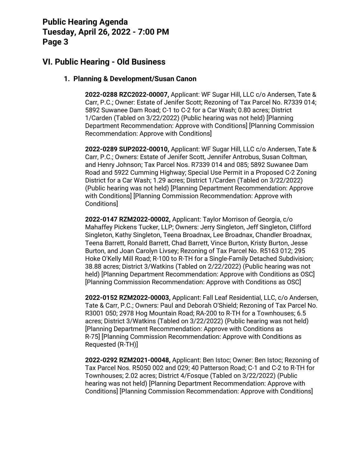## **VI. Public Hearing - Old Business**

#### **1. Planning & Development/Susan Canon**

**2022-0288 RZC2022-00007,** Applicant: WF Sugar Hill, LLC c/o Andersen, Tate & Carr, P.C.; Owner: Estate of Jenifer Scott; Rezoning of Tax Parcel No. R7339 014; 5892 Suwanee Dam Road; C-1 to C-2 for a Car Wash; 0.80 acres; District 1/Carden (Tabled on 3/22/2022) (Public hearing was not held) [Planning Department Recommendation: Approve with Conditions] [Planning Commission Recommendation: Approve with Conditions]

**2022-0289 SUP2022-00010,** Applicant: WF Sugar Hill, LLC c/o Andersen, Tate & Carr, P.C.; Owners: Estate of Jenifer Scott, Jennifer Antrobus, Susan Coltman, and Henry Johnson; Tax Parcel Nos. R7339 014 and 085; 5892 Suwanee Dam Road and 5922 Cumming Highway; Special Use Permit in a Proposed C-2 Zoning District for a Car Wash; 1.29 acres; District 1/Carden (Tabled on 3/22/2022) (Public hearing was not held) [Planning Department Recommendation: Approve with Conditions] [Planning Commission Recommendation: Approve with Conditions]

**2022-0147 RZM2022-00002,** Applicant: Taylor Morrison of Georgia, c/o Mahaffey Pickens Tucker, LLP; Owners: Jerry Singleton, Jeff Singleton, Clifford Singleton, Kathy Singleton, Teena Broadnax, Lee Broadnax, Chandler Broadnax, Teena Barrett, Ronald Barrett, Chad Barrett, Vince Burton, Kristy Burton, Jesse Burton, and Joan Carolyn Livsey; Rezoning of Tax Parcel No. R5163 012; 295 Hoke O'Kelly Mill Road; R-100 to R-TH for a Single-Family Detached Subdivision; 38.88 acres; District 3/Watkins (Tabled on 2/22/2022) (Public hearing was not held) [Planning Department Recommendation: Approve with Conditions as OSC] [Planning Commission Recommendation: Approve with Conditions as OSC]

**2022-0152 RZM2022-00003,** Applicant: Fall Leaf Residential, LLC, c/o Andersen, Tate & Carr, P.C.; Owners: Paul and Deborah O'Shield; Rezoning of Tax Parcel No. R3001 050; 2978 Hog Mountain Road; RA-200 to R-TH for a Townhouses; 6.5 acres; District 3/Watkins (Tabled on 3/22/2022) (Public hearing was not held) [Planning Department Recommendation: Approve with Conditions as R-75] [Planning Commission Recommendation: Approve with Conditions as Requested (R-TH)]

**2022-0292 RZM2021-00048,** Applicant: Ben Istoc; Owner: Ben Istoc; Rezoning of Tax Parcel Nos. R5050 002 and 029; 40 Patterson Road; C-1 and C-2 to R-TH for Townhouses; 2.02 acres; District 4/Fosque (Tabled on 3/22/2022) (Public hearing was not held) [Planning Department Recommendation: Approve with Conditions] [Planning Commission Recommendation: Approve with Conditions]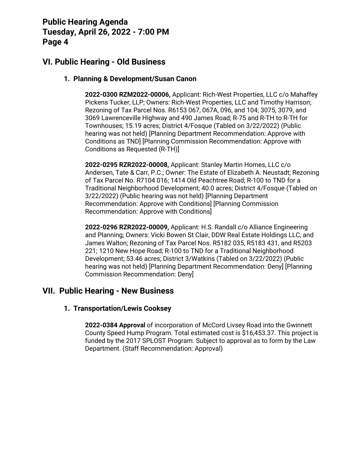## **VI. Public Hearing - Old Business**

#### **1. Planning & Development/Susan Canon**

**2022-0300 RZM2022-00006,** Applicant: Rich-West Properties, LLC c/o Mahaffey Pickens Tucker, LLP; Owners: Rich-West Properties, LLC and Timothy Harrison; Rezoning of Tax Parcel Nos. R6153 067, 067A, 096, and 104; 3075, 3079, and 3069 Lawrenceville Highway and 490 James Road; R-75 and R-TH to R-TH for Townhouses; 15.19 acres; District 4/Fosque (Tabled on 3/22/2022) (Public hearing was not held) [Planning Department Recommendation: Approve with Conditions as TND] [Planning Commission Recommendation: Approve with Conditions as Requested (R-TH)]

**2022-0295 RZR2022-00008,** Applicant: Stanley Martin Homes, LLC c/o Andersen, Tate & Carr, P.C.; Owner: The Estate of Elizabeth A. Neustadt; Rezoning of Tax Parcel No. R7104 016; 1414 Old Peachtree Road; R-100 to TND for a Traditional Neighborhood Development; 40.0 acres; District 4/Fosque (Tabled on 3/22/2022) (Public hearing was not held) [Planning Department Recommendation: Approve with Conditions] [Planning Commission Recommendation: Approve with Conditions]

**2022-0296 RZR2022-00009,** Applicant: H.S. Randall c/o Alliance Engineering and Planning; Owners: Vicki Bowen St Clair, DDW Real Estate Holdings LLC, and James Walton; Rezoning of Tax Parcel Nos. R5182 035, R5183 431, and R5203 221; 1210 New Hope Road; R-100 to TND for a Traditional Neighborhood Development; 53.46 acres; District 3/Watkins (Tabled on 3/22/2022) (Public hearing was not held) [Planning Department Recommendation: Deny] [Planning Commission Recommendation: Deny]

### **VII. Public Hearing - New Business**

#### **1. Transportation/Lewis Cooksey**

**2022-0384 Approval** of incorporation of McCord Livsey Road into the Gwinnett County Speed Hump Program. Total estimated cost is \$16,453.37. This project is funded by the 2017 SPLOST Program. Subject to approval as to form by the Law Department. (Staff Recommendation: Approval)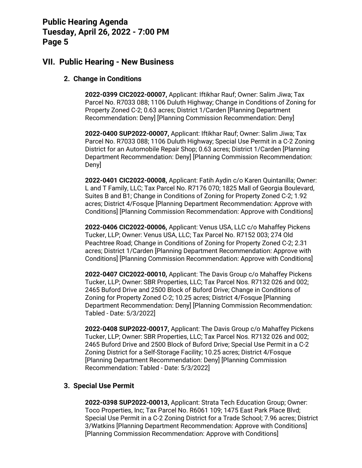### **VII. Public Hearing - New Business**

#### **2. Change in Conditions**

**2022-0399 CIC2022-00007,** Applicant: Iftikhar Rauf; Owner: Salim Jiwa; Tax Parcel No. R7033 088; 1106 Duluth Highway; Change in Conditions of Zoning for Property Zoned C-2; 0.63 acres; District 1/Carden [Planning Department Recommendation: Deny] [Planning Commission Recommendation: Deny]

**2022-0400 SUP2022-00007,** Applicant: Iftikhar Rauf; Owner: Salim Jiwa; Tax Parcel No. R7033 088; 1106 Duluth Highway; Special Use Permit in a C-2 Zoning District for an Automobile Repair Shop; 0.63 acres; District 1/Carden [Planning Department Recommendation: Deny] [Planning Commission Recommendation: Deny]

**2022-0401 CIC2022-00008,** Applicant: Fatih Aydin c/o Karen Quintanilla; Owner: L and T Family, LLC; Tax Parcel No. R7176 070; 1825 Mall of Georgia Boulevard, Suites B and B1; Change in Conditions of Zoning for Property Zoned C-2; 1.92 acres; District 4/Fosque [Planning Department Recommendation: Approve with Conditions] [Planning Commission Recommendation: Approve with Conditions]

**2022-0406 CIC2022-00006,** Applicant: Venus USA, LLC c/o Mahaffey Pickens Tucker, LLP; Owner: Venus USA, LLC; Tax Parcel No. R7152 003; 274 Old Peachtree Road; Change in Conditions of Zoning for Property Zoned C-2; 2.31 acres; District 1/Carden [Planning Department Recommendation: Approve with Conditions] [Planning Commission Recommendation: Approve with Conditions]

**2022-0407 CIC2022-00010,** Applicant: The Davis Group c/o Mahaffey Pickens Tucker, LLP; Owner: SBR Properties, LLC; Tax Parcel Nos. R7132 026 and 002; 2465 Buford Drive and 2500 Block of Buford Drive; Change in Conditions of Zoning for Property Zoned C-2; 10.25 acres; District 4/Fosque [Planning Department Recommendation: Deny] [Planning Commission Recommendation: Tabled - Date: 5/3/2022]

**2022-0408 SUP2022-00017,** Applicant: The Davis Group c/o Mahaffey Pickens Tucker, LLP; Owner: SBR Properties, LLC; Tax Parcel Nos. R7132 026 and 002; 2465 Buford Drive and 2500 Block of Buford Drive; Special Use Permit in a C-2 Zoning District for a Self-Storage Facility; 10.25 acres; District 4/Fosque [Planning Department Recommendation: Deny] [Planning Commission Recommendation: Tabled - Date: 5/3/2022]

#### **3. Special Use Permit**

**2022-0398 SUP2022-00013,** Applicant: Strata Tech Education Group; Owner: Toco Properties, Inc; Tax Parcel No. R6061 109; 1475 East Park Place Blvd; Special Use Permit in a C-2 Zoning District for a Trade School; 7.96 acres; District 3/Watkins [Planning Department Recommendation: Approve with Conditions] [Planning Commission Recommendation: Approve with Conditions]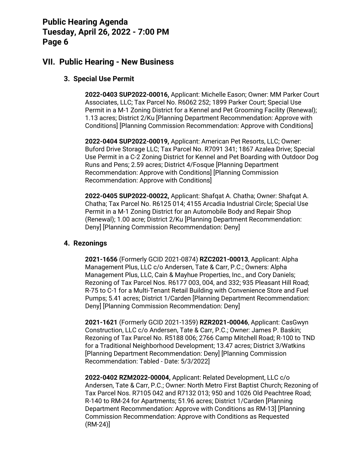### **VII. Public Hearing - New Business**

#### **3. Special Use Permit**

**2022-0403 SUP2022-00016,** Applicant: Michelle Eason; Owner: MM Parker Court Associates, LLC; Tax Parcel No. R6062 252; 1899 Parker Court; Special Use Permit in a M-1 Zoning District for a Kennel and Pet Grooming Facility (Renewal); 1.13 acres; District 2/Ku [Planning Department Recommendation: Approve with Conditions] [Planning Commission Recommendation: Approve with Conditions]

**2022-0404 SUP2022-00019,** Applicant: American Pet Resorts, LLC; Owner: Buford Drive Storage LLC; Tax Parcel No. R7091 341; 1867 Azalea Drive; Special Use Permit in a C-2 Zoning District for Kennel and Pet Boarding with Outdoor Dog Runs and Pens; 2.59 acres; District 4/Fosque [Planning Department Recommendation: Approve with Conditions] [Planning Commission Recommendation: Approve with Conditions]

**2022-0405 SUP2022-00022,** Applicant: Shafqat A. Chatha; Owner: Shafqat A. Chatha; Tax Parcel No. R6125 014; 4155 Arcadia Industrial Circle; Special Use Permit in a M-1 Zoning District for an Automobile Body and Repair Shop (Renewal); 1.00 acre; District 2/Ku [Planning Department Recommendation: Deny] [Planning Commission Recommendation: Deny]

#### **4. Rezonings**

**2021-1656** (Formerly GCID 2021-0874) **RZC2021-00013**, Applicant: Alpha Management Plus, LLC c/o Andersen, Tate & Carr, P.C.; Owners: Alpha Management Plus, LLC, Cain & Mayhue Properties, Inc., and Cory Daniels; Rezoning of Tax Parcel Nos. R6177 003, 004, and 332; 935 Pleasant Hill Road; R-75 to C-1 for a Multi-Tenant Retail Building with Convenience Store and Fuel Pumps; 5.41 acres; District 1/Carden [Planning Department Recommendation: Deny] [Planning Commission Recommendation: Deny]

**2021-1621** (Formerly GCID 2021-1359) **RZR2021-00046**, Applicant: CasGwyn Construction, LLC c/o Andersen, Tate & Carr, P.C.; Owner: James P. Baskin; Rezoning of Tax Parcel No. R5188 006; 2766 Camp Mitchell Road; R-100 to TND for a Traditional Neighborhood Development; 13.47 acres; District 3/Watkins [Planning Department Recommendation: Deny] [Planning Commission Recommendation: Tabled - Date: 5/3/2022]

**2022-0402 RZM2022-00004,** Applicant: Related Development, LLC c/o Andersen, Tate & Carr, P.C.; Owner: North Metro First Baptist Church; Rezoning of Tax Parcel Nos. R7105 042 and R7132 013; 950 and 1026 Old Peachtree Road; R-140 to RM-24 for Apartments; 51.96 acres; District 1/Carden [Planning Department Recommendation: Approve with Conditions as RM-13] [Planning Commission Recommendation: Approve with Conditions as Requested (RM-24)]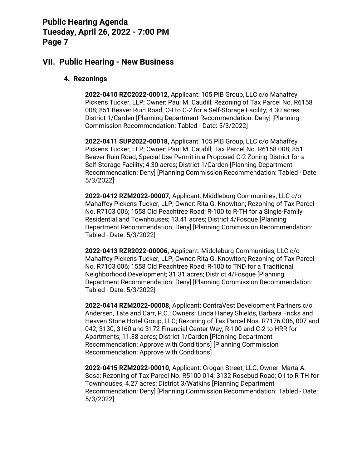### **VII. Public Hearing - New Business**

#### **4. Rezonings**

**2022-0410 RZC2022-00012,** Applicant: 105 PIB Group, LLC c/o Mahaffey Pickens Tucker, LLP; Owner: Paul M. Caudill; Rezoning of Tax Parcel No. R6158 008; 851 Beaver Ruin Road; O-I to C-2 for a Self-Storage Facility; 4.30 acres; District 1/Carden [Planning Department Recommendation: Deny] [Planning Commission Recommendation: Tabled - Date: 5/3/2022]

**2022-0411 SUP2022-00018,** Applicant: 105 PIB Group, LLC c/o Mahaffey Pickens Tucker, LLP; Owner: Paul M. Caudill; Tax Parcel No. R6158 008; 851 Beaver Ruin Road; Special Use Permit in a Proposed C-2 Zoning District for a Self-Storage Facility; 4.30 acres; District 1/Carden [Planning Department Recommendation: Deny] [Planning Commission Recommendation: Tabled - Date: 5/3/2022]

**2022-0412 RZM2022-00007,** Applicant: Middleburg Communities, LLC c/o Mahaffey Pickens Tucker, LLP; Owner: Rita G. Knowlton; Rezoning of Tax Parcel No. R7103 006; 1558 Old Peachtree Road; R-100 to R-TH for a Single-Family Residential and Townhouses; 13.41 acres; District 4/Fosque [Planning Department Recommendation: Deny] [Planning Commission Recommendation: Tabled - Date: 5/3/2022]

**2022-0413 RZR2022-00006,** Applicant: Middleburg Communities, LLC c/o Mahaffey Pickens Tucker, LLP; Owner: Rita G. Knowlton; Rezoning of Tax Parcel No. R7103 006; 1558 Old Peachtree Road; R-100 to TND for a Traditional Neighborhood Development; 31.31 acres; District 4/Fosque [Planning Department Recommendation: Deny] [Planning Commission Recommendation: Tabled - Date: 5/3/2022]

**2022-0414 RZM2022-00008,** Applicant: ContraVest Development Partners c/o Andersen, Tate and Carr, P.C.; Owners: Linda Haney Shields, Barbara Fricks and Heaven Stone Hotel Group, LLC; Rezoning of Tax Parcel Nos. R7176 006, 007 and 042; 3130, 3160 and 3172 Financial Center Way; R-100 and C-2 to HRR for Apartments; 11.38 acres; District 1/Carden [Planning Department Recommendation: Approve with Conditions] [Planning Commission Recommendation: Approve with Conditions]

**2022-0415 RZM2022-00010,** Applicant: Crogan Street, LLC; Owner: Marta A. Sosa; Rezoning of Tax Parcel No. R5100 014; 3132 Rosebud Road; O-I to R-TH for Townhouses; 4.27 acres; District 3/Watkins [Planning Department Recommendation: Deny] [Planning Commission Recommendation: Tabled - Date: 5/3/2022]